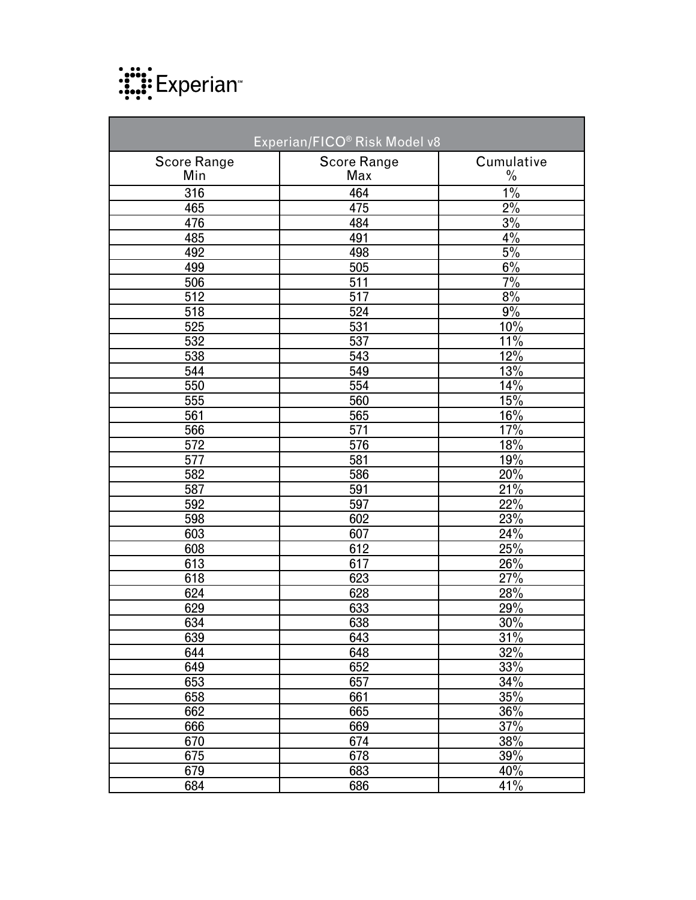

| Experian/FICO® Risk Model v8 |                    |               |  |
|------------------------------|--------------------|---------------|--|
| <b>Score Range</b>           | <b>Score Range</b> | Cumulative    |  |
| Min                          | Max                | $\frac{0}{0}$ |  |
| 316                          | 464                | $1\%$         |  |
| 465                          | 475                | $2\%$         |  |
| 476                          | 484                | 3%            |  |
| 485                          | 491                | 4%            |  |
| 492                          | 498                | 5%            |  |
| 499                          | 505                | $6\%$         |  |
| 506                          | 511                | 7%            |  |
| 512                          | 517                | 8%            |  |
| 518                          | 524                | 9%            |  |
| 525                          | 531                | 10%           |  |
| 532                          | 537                | 11%           |  |
| 538                          | 543                | 12%           |  |
| 544                          | 549                | 13%           |  |
| 550                          | 554                | 14%           |  |
| 555                          | 560                | 15%           |  |
| 561                          | 565                | 16%           |  |
| 566                          | 571                | 17%           |  |
| $\overline{572}$             | 576                | 18%           |  |
| 577                          | 581                | 19%           |  |
| 582                          | 586                | 20%           |  |
| 587                          | 591                | 21%           |  |
| 592                          | 597                | 22%           |  |
| 598                          | 602                | 23%           |  |
| 603                          | 607                | 24%           |  |
| 608                          | 612                | 25%           |  |
| 613                          | 617                | 26%           |  |
| 618                          | 623                | 27%           |  |
| 624                          | 628                | 28%           |  |
| 629                          | 633                | 29%           |  |
| 634                          | 638                | 30%           |  |
| 639                          | 643                | 31%           |  |
| 644                          | 648                | 32%           |  |
| 649                          | 652                | 33%           |  |
| 653                          | 657                | 34%           |  |
| 658                          | 661                | 35%           |  |
| 662                          | 665                | 36%           |  |
| 666                          | 669                | 37%           |  |
| 670                          | 674                | 38%           |  |
| 675                          | 678                | 39%           |  |
| 679                          | 683                | 40%           |  |
| 684                          | 686                | 41%           |  |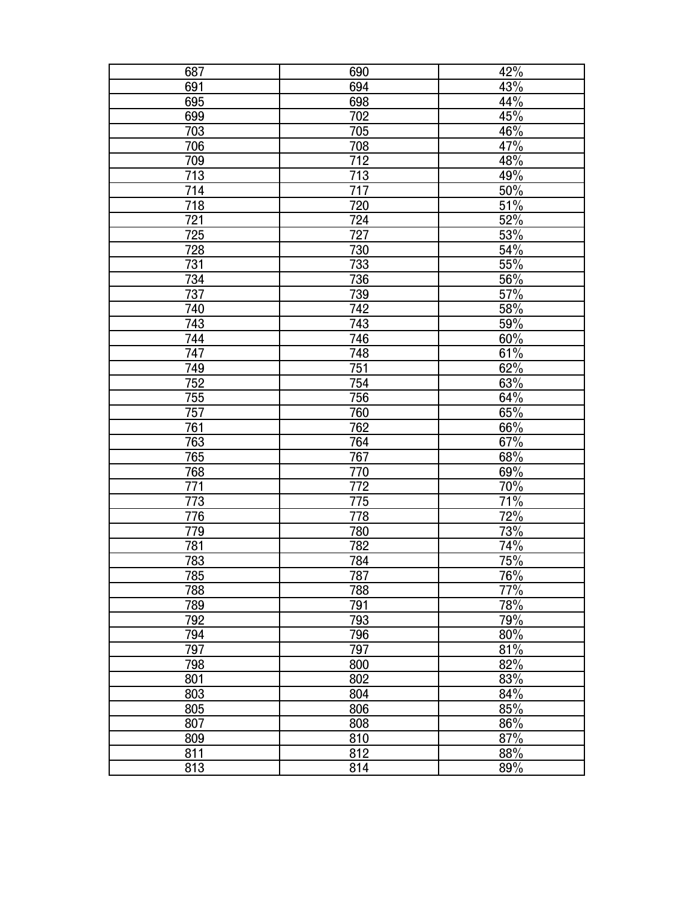| 687              | 690              | 42% |
|------------------|------------------|-----|
| 691              | 694              | 43% |
| 695              | 698              | 44% |
| 699              | 702              | 45% |
| 703              | 705              | 46% |
| 706              | 708              | 47% |
| 709              | 712              | 48% |
| 713              | 713              | 49% |
| 714              | 717              | 50% |
| 718              | 720              | 51% |
| <u>721</u>       | 724              | 52% |
| 725              | 727              | 53% |
| 728              | 730              | 54% |
| 731              | 733              | 55% |
| 734              | 736              | 56% |
| $\overline{737}$ | 739              | 57% |
| 740              | 742              | 58% |
| 743              | 743              | 59% |
| 744              | 746              | 60% |
| 747              | 748              | 61% |
| 749              | 751              | 62% |
| 752              | 754              | 63% |
| 755              | 756              | 64% |
| 757              | 760              | 65% |
| 761              | 762              | 66% |
| 763              | 764              | 67% |
| 765              | $\frac{1}{767}$  | 68% |
| 768              | 770              | 69% |
| 771              | $\overline{772}$ | 70% |
| 773              | 775              | 71% |
| 776              | 778              | 72% |
| 779              | 780              | 73% |
| 781              | 782              | 74% |
| 783              | 784              | 75% |
| 785              | 787              | 76% |
| 788              | 788              | 77% |
| 789              | 791              | 78% |
| 792              | 793              | 79% |
| 794              | 796              | 80% |
| 797              | 797              | 81% |
| 798              | 800              | 82% |
| 801              | 802              | 83% |
| 803              | 804              | 84% |
| 805              | 806              | 85% |
| 807              | 808              | 86% |
| 809              | 810              | 87% |
| 811              | 812              | 88% |
| 813              | 814              | 89% |